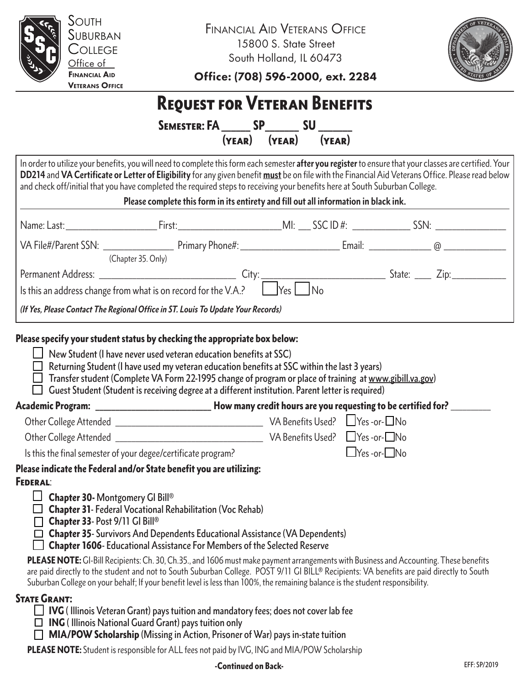

Financial Aid Veterans Office 15800 S. State Street South Holland, IL 60473



Office: (708) 596-2000, ext. 2284

# Request for Veteran Benefits

Semester: FA\_\_\_\_\_\_ SP\_\_\_\_\_\_\_ SU \_\_\_\_\_\_\_ (year) (year) (year)

In order to utilize your benefits, you will need to complete this form each semester **after you register** to ensure that your classes are certified. Your **DD214** and **VA Certificate or Letter of Eligibility** for any given benefit **must** be on file with the Financial Aid Veterans Office. Please read below and check off/initial that you have completed the required steps to receiving your benefits here at South Suburban College.

| (Chapter 35. Only)                                                               |  |
|----------------------------------------------------------------------------------|--|
| (If Yes, Please Contact The Regional Office in ST. Louis To Update Your Records) |  |

- $\Box$  Transfer student (Complete VA Form 22-1995 change of program or place of training at www.gibill.va.gov)
- $\Box$  Guest Student (Student is receiving degree at a different institution. Parent letter is required)

How many credit hours are you requesting to be certified for? Other College Attended and the College Attended the College Attended and the College Attended and the College  $\Box$  Yes -or-  $\Box$  No

| <b>UTHUL CONGET MIGHUGU</b> | $\mathbf{v}$ , perfective obsets. The control $\Box$ in the control of $\Box$ |     |
|-----------------------------|-------------------------------------------------------------------------------|-----|
| Other College Attended      | VA Benefits Used? $\Box$ Yes -or- $\Box$                                      | ]No |

Is this the final semester of your degee/certificate program?

## Please indicate the Federal and/or State benefit you are utilizing: Federal:

- $\Box$  Chapter 30- Montgomery GI Bill®
- $\Box$  Chapter 31- Federal Vocational Rehabilitation (Voc Rehab)
- $\Box$  Chapter 33- Post 9/11 GI Bill®
- $\Box$  Chapter 35- Survivors And Dependents Educational Assistance (VA Dependents)
- $\Box$  Chapter 1606- Educational Assistance For Members of the Selected Reserve

PLEASE NOTE: GI-Bill Recipients: Ch. 30, Ch.35., and 1606 must make payment arrangements with Business and Accounting. These benefits are paid directly to the student and not to South Suburban College. POST 9/11 GI BILL® Recipients: VA benefits are paid directly to South Suburban College on your behalf; If your benefit level is less than 100%, the remaining balance is the student responsibility.

# STATE GRANT:

- $\Box$  **IVG** (Illinois Veteran Grant) pays tuition and mandatory fees; does not cover lab fee
- $\Box$  **ING** ( Illinois National Guard Grant) pays tuition only
- $\Box$  MIA/POW Scholarship (Missing in Action, Prisoner of War) pays in-state tuition

PLEASE NOTE: Student is responsible for ALL fees not paid by IVG, ING and MIA/POW Scholarship

#### **EFF: SP/2019** -Continued on Back-